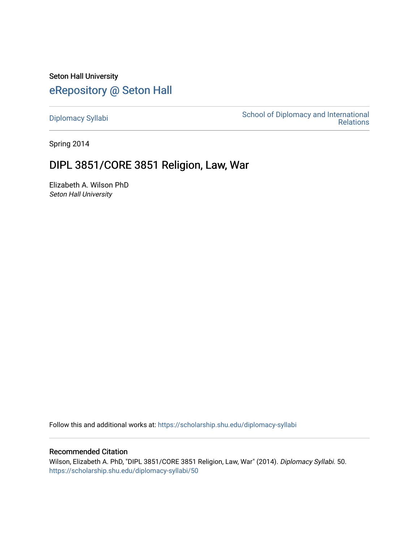Seton Hall University [eRepository @ Seton Hall](https://scholarship.shu.edu/)

[Diplomacy Syllabi](https://scholarship.shu.edu/diplomacy-syllabi) [School of Diplomacy and International](https://scholarship.shu.edu/diplomacy)  [Relations](https://scholarship.shu.edu/diplomacy) 

Spring 2014

## DIPL 3851/CORE 3851 Religion, Law, War

Elizabeth A. Wilson PhD Seton Hall University

Follow this and additional works at: [https://scholarship.shu.edu/diplomacy-syllabi](https://scholarship.shu.edu/diplomacy-syllabi?utm_source=scholarship.shu.edu%2Fdiplomacy-syllabi%2F50&utm_medium=PDF&utm_campaign=PDFCoverPages) 

## Recommended Citation

Wilson, Elizabeth A. PhD, "DIPL 3851/CORE 3851 Religion, Law, War" (2014). Diplomacy Syllabi. 50. [https://scholarship.shu.edu/diplomacy-syllabi/50](https://scholarship.shu.edu/diplomacy-syllabi/50?utm_source=scholarship.shu.edu%2Fdiplomacy-syllabi%2F50&utm_medium=PDF&utm_campaign=PDFCoverPages)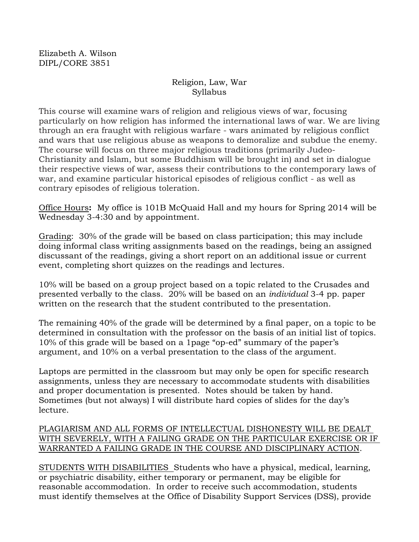Elizabeth A. Wilson DIPL/CORE 3851

## Religion, Law, War Syllabus

This course will examine wars of religion and religious views of war, focusing particularly on how religion has informed the international laws of war. We are living through an era fraught with religious warfare - wars animated by religious conflict and wars that use religious abuse as weapons to demoralize and subdue the enemy. The course will focus on three major religious traditions (primarily Judeo-Christianity and Islam, but some Buddhism will be brought in) and set in dialogue their respective views of war, assess their contributions to the contemporary laws of war, and examine particular historical episodes of religious conflict - as well as contrary episodes of religious toleration.

Office Hours**:** My office is 101B McQuaid Hall and my hours for Spring 2014 will be Wednesday 3-4:30 and by appointment.

Grading: 30% of the grade will be based on class participation; this may include doing informal class writing assignments based on the readings, being an assigned discussant of the readings, giving a short report on an additional issue or current event, completing short quizzes on the readings and lectures.

10% will be based on a group project based on a topic related to the Crusades and presented verbally to the class. 20% will be based on an *individual* 3-4 pp. paper written on the research that the student contributed to the presentation.

The remaining 40% of the grade will be determined by a final paper, on a topic to be determined in consultation with the professor on the basis of an initial list of topics. 10% of this grade will be based on a 1page "op-ed" summary of the paper's argument, and 10% on a verbal presentation to the class of the argument.

Laptops are permitted in the classroom but may only be open for specific research assignments, unless they are necessary to accommodate students with disabilities and proper documentation is presented. Notes should be taken by hand. Sometimes (but not always) I will distribute hard copies of slides for the day's lecture.

## PLAGIARISM AND ALL FORMS OF INTELLECTUAL DISHONESTY WILL BE DEALT WITH SEVERELY, WITH A FAILING GRADE ON THE PARTICULAR EXERCISE OR IF WARRANTED A FAILING GRADE IN THE COURSE AND DISCIPLINARY ACTION.

STUDENTS WITH DISABILITIES Students who have a physical, medical, learning, or psychiatric disability, either temporary or permanent, may be eligible for reasonable accommodation. In order to receive such accommodation, students must identify themselves at the Office of Disability Support Services (DSS), provide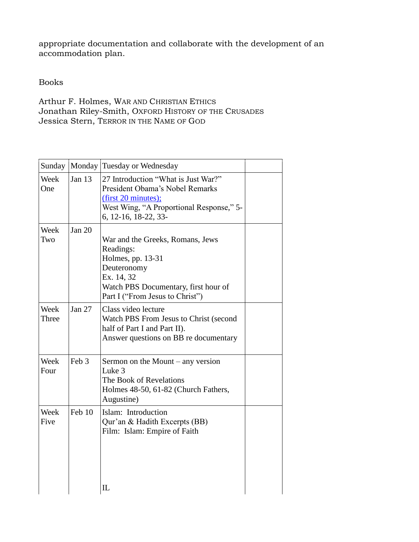appropriate documentation and collaborate with the development of an accommodation plan.

Books

Arthur F. Holmes, WAR AND CHRISTIAN ETHICS Jonathan Riley-Smith, OXFORD HISTORY OF THE CRUSADES Jessica Stern, TERROR IN THE NAME OF GOD

| Sunday        |          | Monday Tuesday or Wednesday                                                                                                                                                |  |
|---------------|----------|----------------------------------------------------------------------------------------------------------------------------------------------------------------------------|--|
| Week<br>One   | Jan $13$ | 27 Introduction "What is Just War?"<br>President Obama's Nobel Remarks<br>(first 20 minutes);<br>West Wing, "A Proportional Response," 5-<br>6, 12-16, 18-22, 33-          |  |
| Week<br>Two   | Jan $20$ | War and the Greeks, Romans, Jews<br>Readings:<br>Holmes, pp. 13-31<br>Deuteronomy<br>Ex. 14, 32<br>Watch PBS Documentary, first hour of<br>Part I ("From Jesus to Christ") |  |
| Week<br>Three | Jan $27$ | Class video lecture<br>Watch PBS From Jesus to Christ (second<br>half of Part I and Part II).<br>Answer questions on BB re documentary                                     |  |
| Week<br>Four  | Feb 3    | Sermon on the Mount $-$ any version<br>Luke 3<br>The Book of Revelations<br>Holmes 48-50, 61-82 (Church Fathers,<br>Augustine)                                             |  |
| Week<br>Five  | Feb 10   | Islam: Introduction<br>Qur'an & Hadith Excerpts (BB)<br>Film: Islam: Empire of Faith                                                                                       |  |
|               |          | $\mathcal{I}$                                                                                                                                                              |  |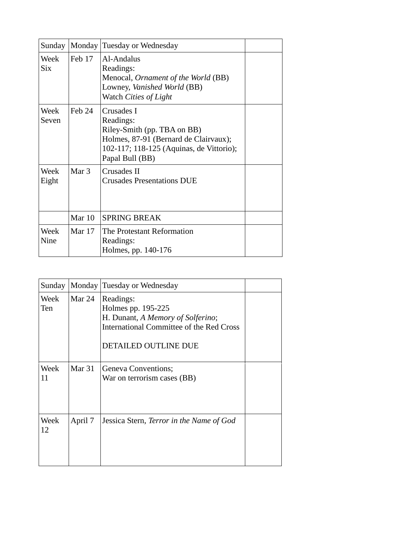| Sunday             |          | Monday Tuesday or Wednesday                                                                                                                                    |  |
|--------------------|----------|----------------------------------------------------------------------------------------------------------------------------------------------------------------|--|
| Week<br><b>Six</b> | Feb 17   | Al-Andalus<br>Readings:<br>Menocal, <i>Ornament of the World</i> (BB)<br>Lowney, Vanished World (BB)<br>Watch Cities of Light                                  |  |
| Week<br>Seven      | Feb 24   | Crusades I<br>Readings:<br>Riley-Smith (pp. TBA on BB)<br>Holmes, 87-91 (Bernard de Clairvaux);<br>102-117; 118-125 (Aquinas, de Vittorio);<br>Papal Bull (BB) |  |
| Week<br>Eight      | Mar $3$  | Crusades II<br><b>Crusades Presentations DUE</b>                                                                                                               |  |
|                    | Mar $10$ | <b>SPRING BREAK</b>                                                                                                                                            |  |
| Week<br>Nine       | Mar $17$ | The Protestant Reformation<br>Readings:<br>Holmes, pp. 140-176                                                                                                 |  |

| Sunday             |          | Monday Tuesday or Wednesday                                                                                                                     |  |
|--------------------|----------|-------------------------------------------------------------------------------------------------------------------------------------------------|--|
| Week<br><b>Ten</b> | Mar $24$ | Readings:<br>Holmes pp. 195-225<br>H. Dunant, A Memory of Solferino;<br>International Committee of the Red Cross<br><b>DETAILED OUTLINE DUE</b> |  |
| Week<br>11         | Mar $31$ | Geneva Conventions;<br>War on terrorism cases (BB)                                                                                              |  |
| Week<br>12         | April 7  | Jessica Stern, Terror in the Name of God                                                                                                        |  |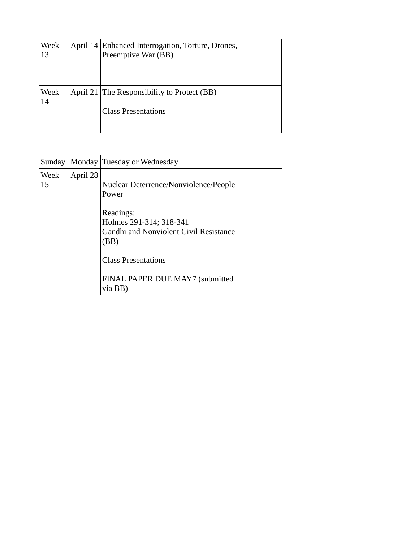| Week<br>13 | April 14 Enhanced Interrogation, Torture, Drones,<br>Preemptive War (BB)  |  |
|------------|---------------------------------------------------------------------------|--|
| Week<br>14 | April 21 The Responsibility to Protect (BB)<br><b>Class Presentations</b> |  |

| Sunday |          | Monday Tuesday or Wednesday            |  |
|--------|----------|----------------------------------------|--|
| Week   | April 28 |                                        |  |
| 15     |          | Nuclear Deterrence/Nonviolence/People  |  |
|        |          | Power                                  |  |
|        |          | Readings:                              |  |
|        |          | Holmes 291-314; 318-341                |  |
|        |          | Gandhi and Nonviolent Civil Resistance |  |
|        |          | (BB)                                   |  |
|        |          | <b>Class Presentations</b>             |  |
|        |          | FINAL PAPER DUE MAY7 (submitted        |  |
|        |          | via BB)                                |  |